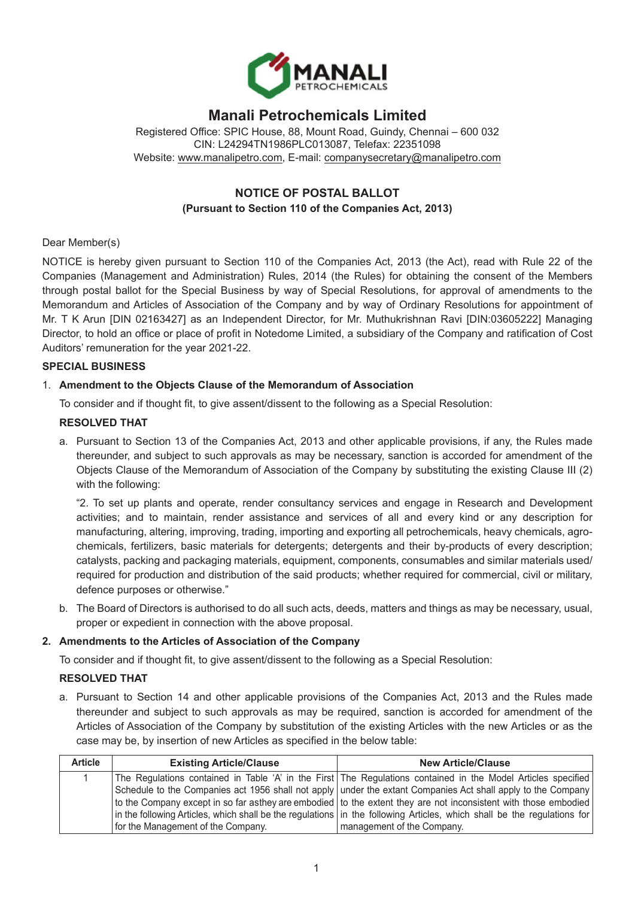

# **Manali Petrochemicals Limited**

Registered Office: SPIC House, 88, Mount Road, Guindy, Chennai – 600 032 CIN: L24294TN1986PLC013087, Telefax: 22351098 Website: [www.manalipetro.com,](http://www.manalipetro.com) E-mail: [companysecretary@manalipetro.com](mailto:companysecretary@manalipetro.com)

# **NOTICE OF POSTAL BALLOT (Pursuant to Section 110 of the Companies Act, 2013)**

# Dear Member(s)

NOTICE is hereby given pursuant to Section 110 of the Companies Act, 2013 (the Act), read with Rule 22 of the Companies (Management and Administration) Rules, 2014 (the Rules) for obtaining the consent of the Members through postal ballot for the Special Business by way of Special Resolutions, for approval of amendments to the Memorandum and Articles of Association of the Company and by way of Ordinary Resolutions for appointment of Mr. T K Arun [DIN 02163427] as an Independent Director, for Mr. Muthukrishnan Ravi [DIN:03605222] Managing Director, to hold an office or place of profit in Notedome Limited, a subsidiary of the Company and ratification of Cost Auditors' remuneration for the year 2021-22.

# **SPECIAL BUSINESS**

# 1. **Amendment to the Objects Clause of the Memorandum of Association**

To consider and if thought fit, to give assent/dissent to the following as a Special Resolution:

# **RESOLVED THAT**

a. Pursuant to Section 13 of the Companies Act, 2013 and other applicable provisions, if any, the Rules made thereunder, and subject to such approvals as may be necessary, sanction is accorded for amendment of the Objects Clause of the Memorandum of Association of the Company by substituting the existing Clause III (2) with the following:

"2. To set up plants and operate, render consultancy services and engage in Research and Development activities; and to maintain, render assistance and services of all and every kind or any description for manufacturing, altering, improving, trading, importing and exporting all petrochemicals, heavy chemicals, agrochemicals, fertilizers, basic materials for detergents; detergents and their by-products of every description; catalysts, packing and packaging materials, equipment, components, consumables and similar materials used/ required for production and distribution of the said products; whether required for commercial, civil or military, defence purposes or otherwise."

b. The Board of Directors is authorised to do all such acts, deeds, matters and things as may be necessary, usual, proper or expedient in connection with the above proposal.

# **2. Amendments to the Articles of Association of the Company**

To consider and if thought fit, to give assent/dissent to the following as a Special Resolution:

#### **RESOLVED THAT**

a. Pursuant to Section 14 and other applicable provisions of the Companies Act, 2013 and the Rules made thereunder and subject to such approvals as may be required, sanction is accorded for amendment of the Articles of Association of the Company by substitution of the existing Articles with the new Articles or as the case may be, by insertion of new Articles as specified in the below table:

| <b>Article</b> | <b>Existing Article/Clause</b>     | <b>New Article/Clause</b>                                                                                               |
|----------------|------------------------------------|-------------------------------------------------------------------------------------------------------------------------|
|                |                                    | The Regulations contained in Table 'A' in the First The Regulations contained in the Model Articles specified           |
|                |                                    | Schedule to the Companies act 1956 shall not apply under the extant Companies Act shall apply to the Company            |
|                |                                    | to the Company except in so far asthey are embodied to the extent they are not inconsistent with those embodied         |
|                |                                    | in the following Articles, which shall be the regulations in the following Articles, which shall be the regulations for |
|                | for the Management of the Company. | management of the Company.                                                                                              |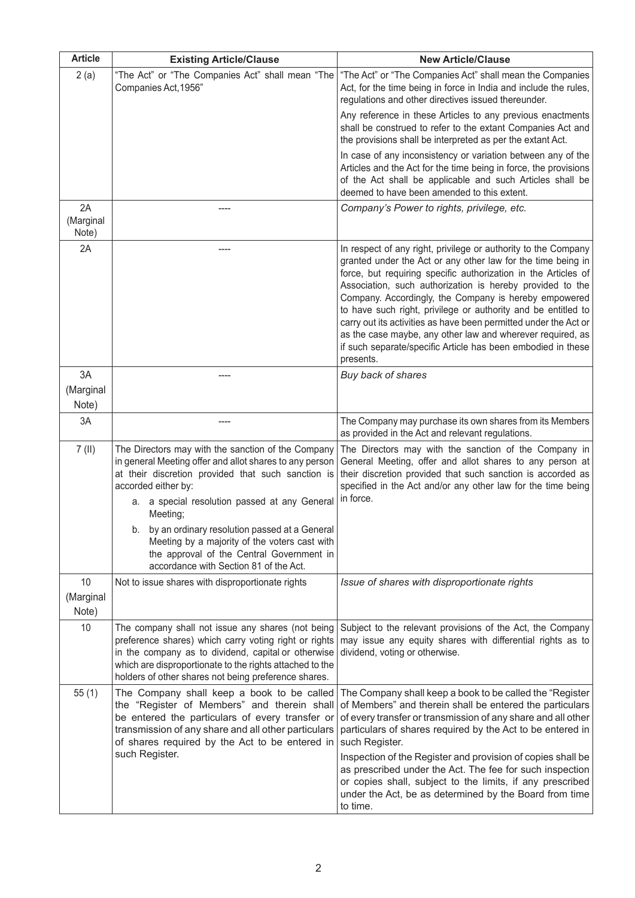| <b>Article</b>           | <b>Existing Article/Clause</b>                                                                                                                                                                                                                                                        | <b>New Article/Clause</b>                                                                                                                                                                                                                                                                                                                                                                                                                                                                                                                                                                              |
|--------------------------|---------------------------------------------------------------------------------------------------------------------------------------------------------------------------------------------------------------------------------------------------------------------------------------|--------------------------------------------------------------------------------------------------------------------------------------------------------------------------------------------------------------------------------------------------------------------------------------------------------------------------------------------------------------------------------------------------------------------------------------------------------------------------------------------------------------------------------------------------------------------------------------------------------|
| 2(a)                     | "The Act" or "The Companies Act" shall mean "The<br>Companies Act, 1956"                                                                                                                                                                                                              | "The Act" or "The Companies Act" shall mean the Companies<br>Act, for the time being in force in India and include the rules,<br>regulations and other directives issued thereunder.                                                                                                                                                                                                                                                                                                                                                                                                                   |
|                          |                                                                                                                                                                                                                                                                                       | Any reference in these Articles to any previous enactments<br>shall be construed to refer to the extant Companies Act and<br>the provisions shall be interpreted as per the extant Act.                                                                                                                                                                                                                                                                                                                                                                                                                |
|                          |                                                                                                                                                                                                                                                                                       | In case of any inconsistency or variation between any of the<br>Articles and the Act for the time being in force, the provisions<br>of the Act shall be applicable and such Articles shall be<br>deemed to have been amended to this extent.                                                                                                                                                                                                                                                                                                                                                           |
| 2A<br>(Marginal<br>Note) |                                                                                                                                                                                                                                                                                       | Company's Power to rights, privilege, etc.                                                                                                                                                                                                                                                                                                                                                                                                                                                                                                                                                             |
| 2A                       |                                                                                                                                                                                                                                                                                       | In respect of any right, privilege or authority to the Company<br>granted under the Act or any other law for the time being in<br>force, but requiring specific authorization in the Articles of<br>Association, such authorization is hereby provided to the<br>Company. Accordingly, the Company is hereby empowered<br>to have such right, privilege or authority and be entitled to<br>carry out its activities as have been permitted under the Act or<br>as the case maybe, any other law and wherever required, as<br>if such separate/specific Article has been embodied in these<br>presents. |
| 3A                       |                                                                                                                                                                                                                                                                                       | Buy back of shares                                                                                                                                                                                                                                                                                                                                                                                                                                                                                                                                                                                     |
| (Marginal<br>Note)       |                                                                                                                                                                                                                                                                                       |                                                                                                                                                                                                                                                                                                                                                                                                                                                                                                                                                                                                        |
| 3A                       |                                                                                                                                                                                                                                                                                       | The Company may purchase its own shares from its Members<br>as provided in the Act and relevant regulations.                                                                                                                                                                                                                                                                                                                                                                                                                                                                                           |
| $7$ (II)                 | The Directors may with the sanction of the Company<br>in general Meeting offer and allot shares to any person<br>at their discretion provided that such sanction is<br>accorded either by:<br>a. a special resolution passed at any General<br>Meeting;                               | The Directors may with the sanction of the Company in<br>General Meeting, offer and allot shares to any person at<br>their discretion provided that such sanction is accorded as<br>specified in the Act and/or any other law for the time being<br>in force.                                                                                                                                                                                                                                                                                                                                          |
|                          | b. by an ordinary resolution passed at a General<br>Meeting by a majority of the voters cast with<br>the approval of the Central Government in<br>accordance with Section 81 of the Act.                                                                                              |                                                                                                                                                                                                                                                                                                                                                                                                                                                                                                                                                                                                        |
| 10                       | Not to issue shares with disproportionate rights                                                                                                                                                                                                                                      | Issue of shares with disproportionate rights                                                                                                                                                                                                                                                                                                                                                                                                                                                                                                                                                           |
| (Marginal<br>Note)       |                                                                                                                                                                                                                                                                                       |                                                                                                                                                                                                                                                                                                                                                                                                                                                                                                                                                                                                        |
| 10                       | The company shall not issue any shares (not being<br>preference shares) which carry voting right or rights<br>in the company as to dividend, capital or otherwise<br>which are disproportionate to the rights attached to the<br>holders of other shares not being preference shares. | Subject to the relevant provisions of the Act, the Company<br>may issue any equity shares with differential rights as to<br>dividend, voting or otherwise.                                                                                                                                                                                                                                                                                                                                                                                                                                             |
| 55(1)                    | The Company shall keep a book to be called<br>the "Register of Members" and therein shall<br>be entered the particulars of every transfer or<br>transmission of any share and all other particulars<br>of shares required by the Act to be entered in<br>such Register.               | The Company shall keep a book to be called the "Register<br>of Members" and therein shall be entered the particulars<br>of every transfer or transmission of any share and all other<br>particulars of shares required by the Act to be entered in<br>such Register.<br>Inspection of the Register and provision of copies shall be<br>as prescribed under the Act. The fee for such inspection<br>or copies shall, subject to the limits, if any prescribed<br>under the Act, be as determined by the Board from time<br>to time.                                                                     |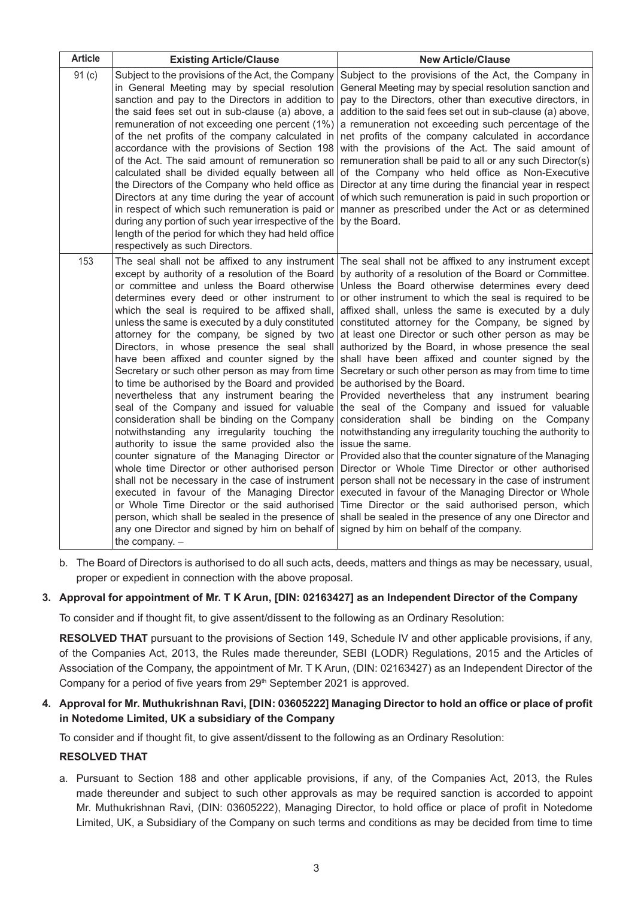| <b>Article</b> | <b>Existing Article/Clause</b>                                                                                                                                                                                                                                                                                                                                                                                                                                                                                                                                                                                                                                                                                                                                                                                                                                                                                                                                                                                                                                                                                                                                                                   | <b>New Article/Clause</b>                                                                                                                                                                                                                                                                                                                                                                                                                                                                                                                                                                                                                                                                                                                                                                                                                                                                                                                                                                                                                                                                                                                                                                                                                                |
|----------------|--------------------------------------------------------------------------------------------------------------------------------------------------------------------------------------------------------------------------------------------------------------------------------------------------------------------------------------------------------------------------------------------------------------------------------------------------------------------------------------------------------------------------------------------------------------------------------------------------------------------------------------------------------------------------------------------------------------------------------------------------------------------------------------------------------------------------------------------------------------------------------------------------------------------------------------------------------------------------------------------------------------------------------------------------------------------------------------------------------------------------------------------------------------------------------------------------|----------------------------------------------------------------------------------------------------------------------------------------------------------------------------------------------------------------------------------------------------------------------------------------------------------------------------------------------------------------------------------------------------------------------------------------------------------------------------------------------------------------------------------------------------------------------------------------------------------------------------------------------------------------------------------------------------------------------------------------------------------------------------------------------------------------------------------------------------------------------------------------------------------------------------------------------------------------------------------------------------------------------------------------------------------------------------------------------------------------------------------------------------------------------------------------------------------------------------------------------------------|
| 91(c)          | Subject to the provisions of the Act, the Company<br>in General Meeting may by special resolution<br>sanction and pay to the Directors in addition to<br>the said fees set out in sub-clause (a) above, a<br>remuneration of not exceeding one percent (1%)<br>of the net profits of the company calculated in<br>accordance with the provisions of Section 198<br>of the Act. The said amount of remuneration so<br>calculated shall be divided equally between all<br>the Directors of the Company who held office as<br>Directors at any time during the year of account<br>in respect of which such remuneration is paid or<br>during any portion of such year irrespective of the<br>length of the period for which they had held office<br>respectively as such Directors.                                                                                                                                                                                                                                                                                                                                                                                                                 | Subject to the provisions of the Act, the Company in<br>General Meeting may by special resolution sanction and<br>pay to the Directors, other than executive directors, in<br>addition to the said fees set out in sub-clause (a) above,<br>a remuneration not exceeding such percentage of the<br>net profits of the company calculated in accordance<br>with the provisions of the Act. The said amount of<br>remuneration shall be paid to all or any such Director(s)<br>of the Company who held office as Non-Executive<br>Director at any time during the financial year in respect<br>of which such remuneration is paid in such proportion or<br>manner as prescribed under the Act or as determined<br>by the Board.                                                                                                                                                                                                                                                                                                                                                                                                                                                                                                                            |
| 153            | The seal shall not be affixed to any instrument<br>except by authority of a resolution of the Board<br>or committee and unless the Board otherwise<br>determines every deed or other instrument to<br>which the seal is required to be affixed shall,<br>unless the same is executed by a duly constituted<br>attorney for the company, be signed by two<br>Directors, in whose presence the seal shall<br>have been affixed and counter signed by the<br>Secretary or such other person as may from time<br>to time be authorised by the Board and provided<br>nevertheless that any instrument bearing the<br>seal of the Company and issued for valuable<br>consideration shall be binding on the Company<br>notwithstanding any irregularity touching the<br>authority to issue the same provided also the<br>counter signature of the Managing Director or<br>whole time Director or other authorised person<br>shall not be necessary in the case of instrument<br>executed in favour of the Managing Director<br>or Whole Time Director or the said authorised<br>person, which shall be sealed in the presence of<br>any one Director and signed by him on behalf of<br>the company. $-$ | The seal shall not be affixed to any instrument except<br>by authority of a resolution of the Board or Committee.<br>Unless the Board otherwise determines every deed<br>or other instrument to which the seal is required to be<br>affixed shall, unless the same is executed by a duly<br>constituted attorney for the Company, be signed by<br>at least one Director or such other person as may be<br>authorized by the Board, in whose presence the seal<br>shall have been affixed and counter signed by the<br>Secretary or such other person as may from time to time<br>be authorised by the Board.<br>Provided nevertheless that any instrument bearing<br>the seal of the Company and issued for valuable<br>consideration shall be binding on the Company<br>notwithstanding any irregularity touching the authority to<br>issue the same.<br>Provided also that the counter signature of the Managing<br>Director or Whole Time Director or other authorised<br>person shall not be necessary in the case of instrument<br>executed in favour of the Managing Director or Whole<br>Time Director or the said authorised person, which<br>shall be sealed in the presence of any one Director and<br>signed by him on behalf of the company. |

b. The Board of Directors is authorised to do all such acts, deeds, matters and things as may be necessary, usual, proper or expedient in connection with the above proposal.

#### **3. Approval for appointment of Mr. T K Arun, [DIN: 02163427] as an Independent Director of the Company**

To consider and if thought fit, to give assent/dissent to the following as an Ordinary Resolution:

**RESOLVED THAT** pursuant to the provisions of Section 149, Schedule IV and other applicable provisions, if any, of the Companies Act, 2013, the Rules made thereunder, SEBI (LODR) Regulations, 2015 and the Articles of Association of the Company, the appointment of Mr. T K Arun, (DIN: 02163427) as an Independent Director of the Company for a period of five years from 29<sup>th</sup> September 2021 is approved.

# **4. Approval for Mr. Muthukrishnan Ravi, [Din: 03605222] Managing Director to hold an office or place of profit in Notedome Limited, UK a subsidiary of the Company**

To consider and if thought fit, to give assent/dissent to the following as an Ordinary Resolution:

#### **RESOLVED THAT**

a. Pursuant to Section 188 and other applicable provisions, if any, of the Companies Act, 2013, the Rules made thereunder and subject to such other approvals as may be required sanction is accorded to appoint Mr. Muthukrishnan Ravi, (DIN: 03605222), Managing Director, to hold office or place of profit in Notedome Limited, UK, a Subsidiary of the Company on such terms and conditions as may be decided from time to time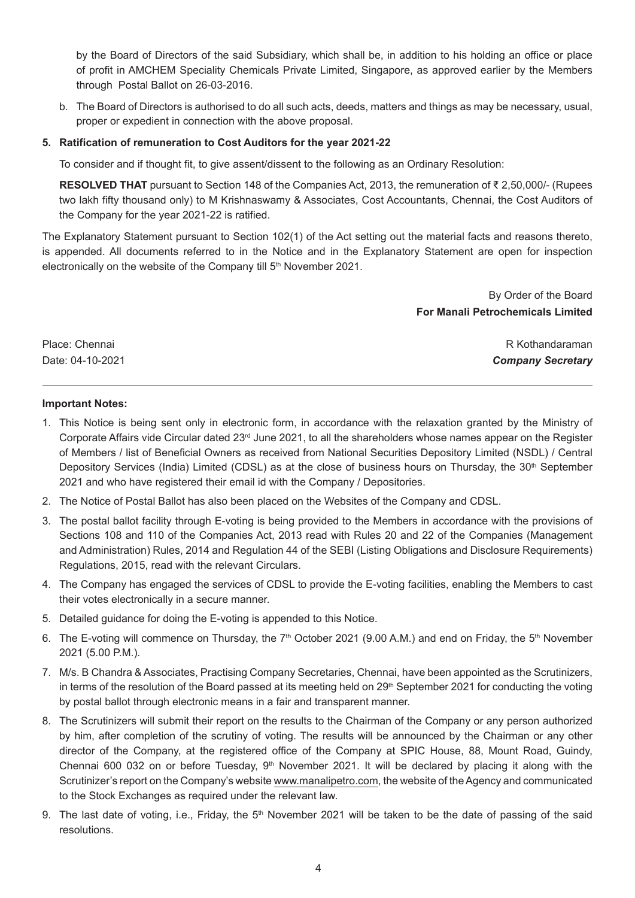by the Board of Directors of the said Subsidiary, which shall be, in addition to his holding an office or place of profit in AMCHEM Speciality Chemicals Private Limited, Singapore, as approved earlier by the Members through Postal Ballot on 26-03-2016.

b. The Board of Directors is authorised to do all such acts, deeds, matters and things as may be necessary, usual, proper or expedient in connection with the above proposal.

#### **5. Ratification of remuneration to Cost Auditors for the year 2021-22**

To consider and if thought fit, to give assent/dissent to the following as an Ordinary Resolution:

**RESOLVED THAT** pursuant to Section 148 of the Companies Act, 2013, the remuneration of ₹ 2,50,000/- (Rupees two lakh fifty thousand only) to M Krishnaswamy & Associates, Cost Accountants, Chennai, the Cost Auditors of the Company for the year 2021-22 is ratified.

The Explanatory Statement pursuant to Section 102(1) of the Act setting out the material facts and reasons thereto, is appended. All documents referred to in the Notice and in the Explanatory Statement are open for inspection electronically on the website of the Company till 5<sup>th</sup> November 2021.

> By Order of the Board **For Manali Petrochemicals Limited**

Place: Chennai R Kothandaraman Date: 04-10-2021 *Company Secretary*

#### **Important Notes:**

- 1. This Notice is being sent only in electronic form, in accordance with the relaxation granted by the Ministry of Corporate Affairs vide Circular dated 23<sup>rd</sup> June 2021, to all the shareholders whose names appear on the Register of Members / list of Beneficial Owners as received from National Securities Depository Limited (NSDL) / Central Depository Services (India) Limited (CDSL) as at the close of business hours on Thursday, the 30<sup>th</sup> September 2021 and who have registered their email id with the Company / Depositories.
- 2. The Notice of Postal Ballot has also been placed on the Websites of the Company and CDSL.
- 3. The postal ballot facility through E-voting is being provided to the Members in accordance with the provisions of Sections 108 and 110 of the Companies Act, 2013 read with Rules 20 and 22 of the Companies (Management and Administration) Rules, 2014 and Regulation 44 of the SEBI (Listing Obligations and Disclosure Requirements) Regulations, 2015, read with the relevant Circulars.
- 4. The Company has engaged the services of CDSL to provide the E-voting facilities, enabling the Members to cast their votes electronically in a secure manner.
- 5. Detailed guidance for doing the E-voting is appended to this Notice.
- 6. The E-voting will commence on Thursday, the  $7<sup>th</sup>$  October 2021 (9.00 A.M.) and end on Friday, the  $5<sup>th</sup>$  November 2021 (5.00 P.M.).
- 7. M/s. B Chandra & Associates, Practising Company Secretaries, Chennai, have been appointed as the Scrutinizers, in terms of the resolution of the Board passed at its meeting held on  $29<sup>th</sup>$  September 2021 for conducting the voting by postal ballot through electronic means in a fair and transparent manner.
- 8. The Scrutinizers will submit their report on the results to the Chairman of the Company or any person authorized by him, after completion of the scrutiny of voting. The results will be announced by the Chairman or any other director of the Company, at the registered office of the Company at SPIC House, 88, Mount Road, Guindy, Chennai 600 032 on or before Tuesday,  $9<sup>th</sup>$  November 2021. It will be declared by placing it along with the Scrutinizer's report on the Company's website www.manalipetro.com, the website of the Agency and communicated to the Stock Exchanges as required under the relevant law.
- 9. The last date of voting, i.e., Friday, the  $5<sup>th</sup>$  November 2021 will be taken to be the date of passing of the said resolutions.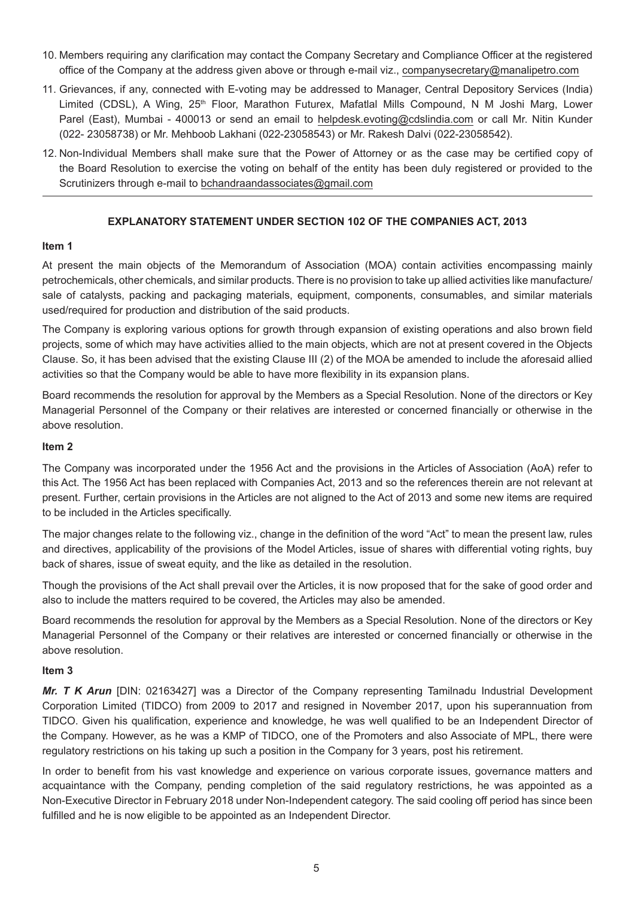- 10. Members requiring any clarification may contact the Company Secretary and Compliance Officer at the registered office of the Company at the address given above or through e-mail viz., companysecretary@manalipetro.com
- 11. Grievances, if any, connected with E-voting may be addressed to Manager, Central Depository Services (India) Limited (CDSL), A Wing, 25<sup>th</sup> Floor, Marathon Futurex, Mafatlal Mills Compound, N M Joshi Marg, Lower Parel (East), Mumbai - 400013 or send an email to helpdesk.evoting@cdslindia.com or call Mr. Nitin Kunder (022- 23058738) or Mr. Mehboob Lakhani (022-23058543) or Mr. Rakesh Dalvi (022-23058542).
- 12. Non-Individual Members shall make sure that the Power of Attorney or as the case may be certified copy of the Board Resolution to exercise the voting on behalf of the entity has been duly registered or provided to the Scrutinizers through e-mail to bchandraandassociates@gmail.com

# **EXPLANATORY STATEMENT UNDER SECTION 102 OF THE COMPANIES ACT, 2013**

#### **Item 1**

At present the main objects of the Memorandum of Association (MOA) contain activities encompassing mainly petrochemicals, other chemicals, and similar products. There is no provision to take up allied activities like manufacture/ sale of catalysts, packing and packaging materials, equipment, components, consumables, and similar materials used/required for production and distribution of the said products.

The Company is exploring various options for growth through expansion of existing operations and also brown field projects, some of which may have activities allied to the main objects, which are not at present covered in the Objects Clause. So, it has been advised that the existing Clause III (2) of the MOA be amended to include the aforesaid allied activities so that the Company would be able to have more flexibility in its expansion plans.

Board recommends the resolution for approval by the Members as a Special Resolution. None of the directors or Key Managerial Personnel of the Company or their relatives are interested or concerned financially or otherwise in the above resolution.

# **Item 2**

The Company was incorporated under the 1956 Act and the provisions in the Articles of Association (AoA) refer to this Act. The 1956 Act has been replaced with Companies Act, 2013 and so the references therein are not relevant at present. Further, certain provisions in the Articles are not aligned to the Act of 2013 and some new items are required to be included in the Articles specifically.

The major changes relate to the following viz., change in the definition of the word "Act" to mean the present law, rules and directives, applicability of the provisions of the Model Articles, issue of shares with differential voting rights, buy back of shares, issue of sweat equity, and the like as detailed in the resolution.

Though the provisions of the Act shall prevail over the Articles, it is now proposed that for the sake of good order and also to include the matters required to be covered, the Articles may also be amended.

Board recommends the resolution for approval by the Members as a Special Resolution. None of the directors or Key Managerial Personnel of the Company or their relatives are interested or concerned financially or otherwise in the above resolution.

#### **Item 3**

*Mr. T K Arun* [DIN: 02163427] was a Director of the Company representing Tamilnadu Industrial Development Corporation Limited (TIDCO) from 2009 to 2017 and resigned in November 2017, upon his superannuation from TIDCO. Given his qualification, experience and knowledge, he was well qualified to be an Independent Director of the Company. However, as he was a KMP of TIDCO, one of the Promoters and also Associate of MPL, there were regulatory restrictions on his taking up such a position in the Company for 3 years, post his retirement.

In order to benefit from his vast knowledge and experience on various corporate issues, governance matters and acquaintance with the Company, pending completion of the said regulatory restrictions, he was appointed as a Non-Executive Director in February 2018 under Non-Independent category. The said cooling off period has since been fulfilled and he is now eligible to be appointed as an Independent Director.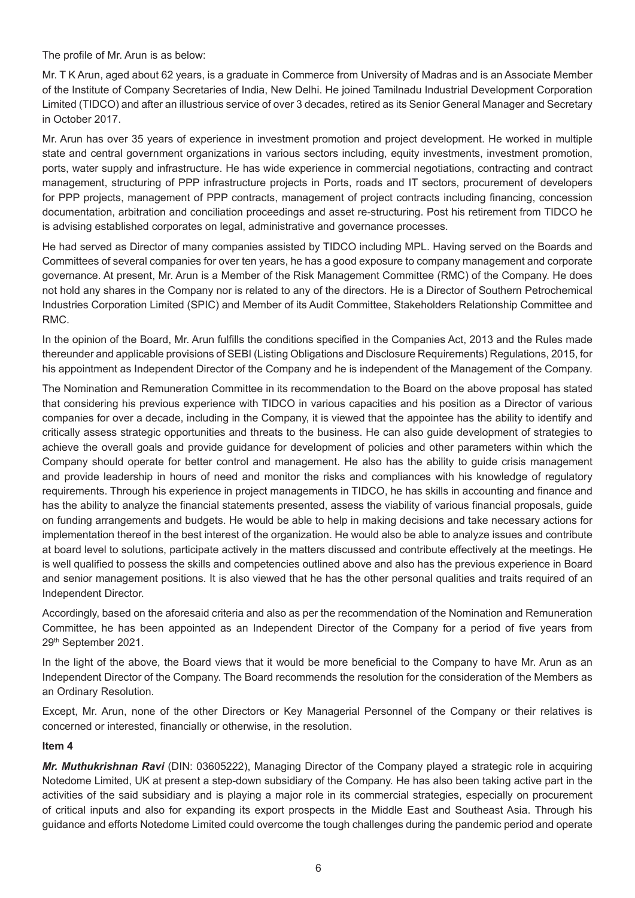The profile of Mr. Arun is as below:

Mr. T K Arun, aged about 62 years, is a graduate in Commerce from University of Madras and is an Associate Member of the Institute of Company Secretaries of India, New Delhi. He joined Tamilnadu Industrial Development Corporation Limited (TIDCO) and after an illustrious service of over 3 decades, retired as its Senior General Manager and Secretary in October 2017.

Mr. Arun has over 35 years of experience in investment promotion and project development. He worked in multiple state and central government organizations in various sectors including, equity investments, investment promotion, ports, water supply and infrastructure. He has wide experience in commercial negotiations, contracting and contract management, structuring of PPP infrastructure projects in Ports, roads and IT sectors, procurement of developers for PPP projects, management of PPP contracts, management of project contracts including financing, concession documentation, arbitration and conciliation proceedings and asset re-structuring. Post his retirement from TIDCO he is advising established corporates on legal, administrative and governance processes.

He had served as Director of many companies assisted by TIDCO including MPL. Having served on the Boards and Committees of several companies for over ten years, he has a good exposure to company management and corporate governance. At present, Mr. Arun is a Member of the Risk Management Committee (RMC) of the Company. He does not hold any shares in the Company nor is related to any of the directors. He is a Director of Southern Petrochemical Industries Corporation Limited (SPIC) and Member of its Audit Committee, Stakeholders Relationship Committee and RMC.

In the opinion of the Board, Mr. Arun fulfills the conditions specified in the Companies Act, 2013 and the Rules made thereunder and applicable provisions of SEBI (Listing Obligations and Disclosure Requirements) Regulations, 2015, for his appointment as Independent Director of the Company and he is independent of the Management of the Company.

The Nomination and Remuneration Committee in its recommendation to the Board on the above proposal has stated that considering his previous experience with TIDCO in various capacities and his position as a Director of various companies for over a decade, including in the Company, it is viewed that the appointee has the ability to identify and critically assess strategic opportunities and threats to the business. He can also guide development of strategies to achieve the overall goals and provide guidance for development of policies and other parameters within which the Company should operate for better control and management. He also has the ability to guide crisis management and provide leadership in hours of need and monitor the risks and compliances with his knowledge of regulatory requirements. Through his experience in project managements in TIDCO, he has skills in accounting and finance and has the ability to analyze the financial statements presented, assess the viability of various financial proposals, guide on funding arrangements and budgets. He would be able to help in making decisions and take necessary actions for implementation thereof in the best interest of the organization. He would also be able to analyze issues and contribute at board level to solutions, participate actively in the matters discussed and contribute effectively at the meetings. He is well qualified to possess the skills and competencies outlined above and also has the previous experience in Board and senior management positions. It is also viewed that he has the other personal qualities and traits required of an Independent Director.

Accordingly, based on the aforesaid criteria and also as per the recommendation of the Nomination and Remuneration Committee, he has been appointed as an Independent Director of the Company for a period of five years from 29th September 2021.

In the light of the above, the Board views that it would be more beneficial to the Company to have Mr. Arun as an Independent Director of the Company. The Board recommends the resolution for the consideration of the Members as an Ordinary Resolution.

Except, Mr. Arun, none of the other Directors or Key Managerial Personnel of the Company or their relatives is concerned or interested, financially or otherwise, in the resolution.

#### **Item 4**

*Mr. Muthukrishnan Ravi* (DIN: 03605222), Managing Director of the Company played a strategic role in acquiring Notedome Limited, UK at present a step-down subsidiary of the Company. He has also been taking active part in the activities of the said subsidiary and is playing a major role in its commercial strategies, especially on procurement of critical inputs and also for expanding its export prospects in the Middle East and Southeast Asia. Through his guidance and efforts Notedome Limited could overcome the tough challenges during the pandemic period and operate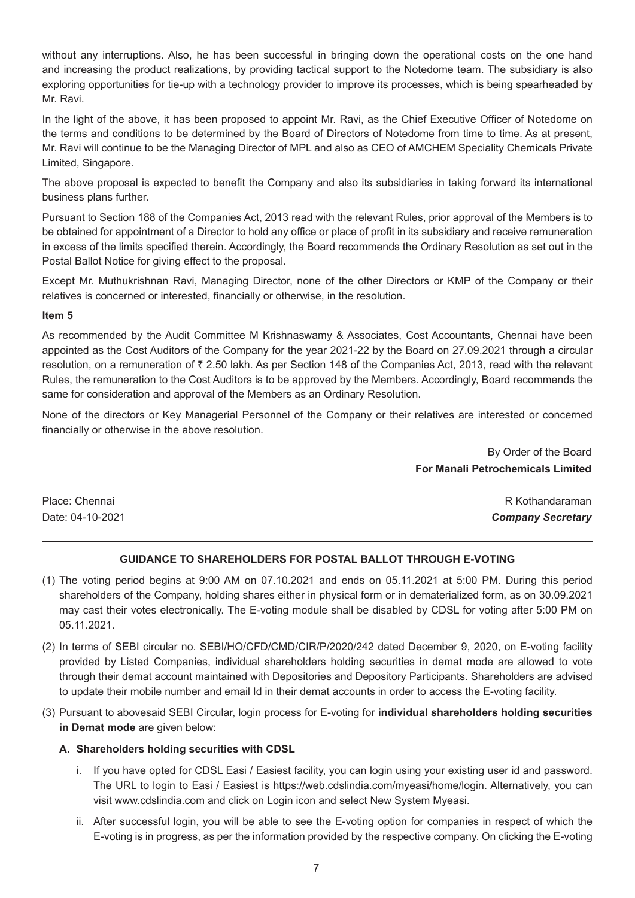without any interruptions. Also, he has been successful in bringing down the operational costs on the one hand and increasing the product realizations, by providing tactical support to the Notedome team. The subsidiary is also exploring opportunities for tie-up with a technology provider to improve its processes, which is being spearheaded by Mr. Ravi.

In the light of the above, it has been proposed to appoint Mr. Ravi, as the Chief Executive Officer of Notedome on the terms and conditions to be determined by the Board of Directors of Notedome from time to time. As at present, Mr. Ravi will continue to be the Managing Director of MPL and also as CEO of AMCHEM Speciality Chemicals Private Limited, Singapore.

The above proposal is expected to benefit the Company and also its subsidiaries in taking forward its international business plans further.

Pursuant to Section 188 of the Companies Act, 2013 read with the relevant Rules, prior approval of the Members is to be obtained for appointment of a Director to hold any office or place of profit in its subsidiary and receive remuneration in excess of the limits specified therein. Accordingly, the Board recommends the Ordinary Resolution as set out in the Postal Ballot Notice for giving effect to the proposal.

Except Mr. Muthukrishnan Ravi, Managing Director, none of the other Directors or KMP of the Company or their relatives is concerned or interested, financially or otherwise, in the resolution.

#### **Item 5**

As recommended by the Audit Committee M Krishnaswamy & Associates, Cost Accountants, Chennai have been appointed as the Cost Auditors of the Company for the year 2021-22 by the Board on 27.09.2021 through a circular resolution, on a remuneration of ₹ 2.50 lakh. As per Section 148 of the Companies Act, 2013, read with the relevant Rules, the remuneration to the Cost Auditors is to be approved by the Members. Accordingly, Board recommends the same for consideration and approval of the Members as an Ordinary Resolution.

None of the directors or Key Managerial Personnel of the Company or their relatives are interested or concerned financially or otherwise in the above resolution.

> By Order of the Board **For Manali Petrochemicals Limited**

Place: Chennai R Kothandaraman Date: 04-10-2021 *Company Secretary*

# **GUIDANCE TO SHAREHOLDERS FOR POSTAL BALLOT THROUGH E-VOTING**

- (1) The voting period begins at 9:00 AM on 07.10.2021 and ends on 05.11.2021 at 5:00 PM. During this period shareholders of the Company, holding shares either in physical form or in dematerialized form, as on 30.09.2021 may cast their votes electronically. The E-voting module shall be disabled by CDSL for voting after 5:00 PM on 05.11.2021.
- (2) In terms of SEBI circular no. SEBI/HO/CFD/CMD/CIR/P/2020/242 dated December 9, 2020, on E-voting facility provided by Listed Companies, individual shareholders holding securities in demat mode are allowed to vote through their demat account maintained with Depositories and Depository Participants. Shareholders are advised to update their mobile number and email Id in their demat accounts in order to access the E-voting facility.
- (3) Pursuant to abovesaid SEBI Circular, login process for E-voting for **individual shareholders holding securities in Demat mode** are given below:

#### **A. Shareholders holding securities with CDSL**

- i. If you have opted for CDSL Easi / Easiest facility, you can login using your existing user id and password. The URL to login to Easi / Easiest is <https://web.cdslindia.com/myeasi/home/login>. Alternatively, you can visit [www.cdslindia.com a](http://www.cdslindia.com/)nd click on Login icon and select New System Myeasi.
- ii. After successful login, you will be able to see the E-voting option for companies in respect of which the E-voting is in progress, as per the information provided by the respective company. On clicking the E-voting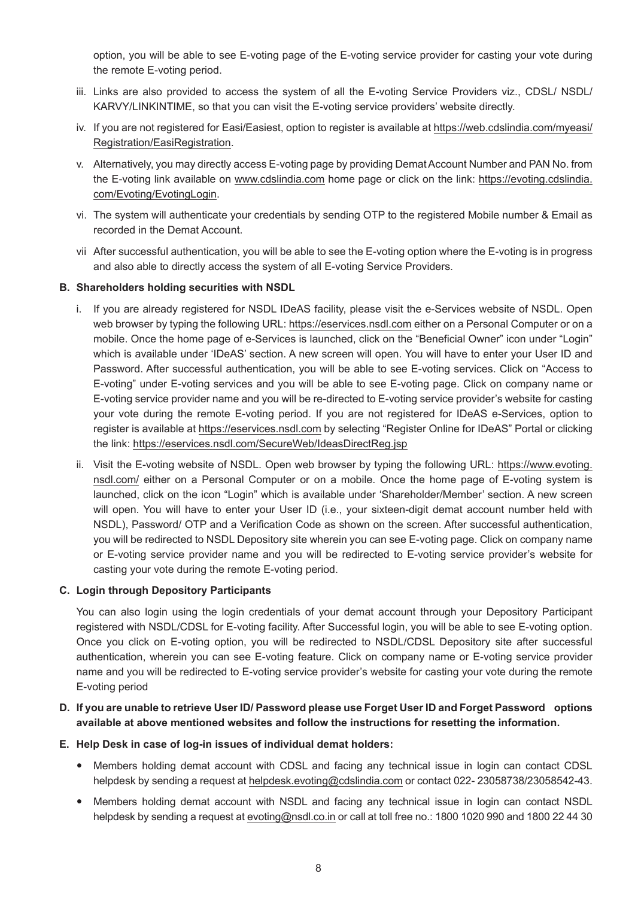option, you will be able to see E-voting page of the E-voting service provider for casting your vote during the remote E-voting period.

- iii. Links are also provided to access the system of all the E-voting Service Providers viz., CDSL/ NSDL/ KARVY/LINKINTIME, so that you can visit the E-voting service providers' website directly.
- iv. If you are not registered for Easi/Easiest, option to register is available at [https://web.cdslindia.com/myeasi/](https://web.cdslindia.com/myeasi/Registration/EasiRegistration) [Registration/EasiRegistration.](https://web.cdslindia.com/myeasi/Registration/EasiRegistration)
- v. Alternatively, you may directly access E-voting page by providing Demat Account Number and PAN No. from the E-voting link available on [www.cdslindia.com h](http://www.cdslindia.com/)ome page or click on the link: [https://evoting.cdslindia.](https://evoting.cdslindia.com/Evoting/EvotingLogin) [com/Evoting/EvotingLogin](https://evoting.cdslindia.com/Evoting/EvotingLogin).
- vi. The system will authenticate your credentials by sending OTP to the registered Mobile number & Email as recorded in the Demat Account.
- vii After successful authentication, you will be able to see the E-voting option where the E-voting is in progress and also able to directly access the system of all E-voting Service Providers.

# **B. Shareholders holding securities with NSDL**

- i. If you are already registered for NSDL IDeAS facility, please visit the e-Services website of NSDL. Open web browser by typing the following URL: [https://eservices.nsdl.com](https://eservices.nsdl.com/) either on a Personal Computer or on a mobile. Once the home page of e-Services is launched, click on the "Beneficial Owner" icon under "Login" which is available under 'IDeAS' section. A new screen will open. You will have to enter your User ID and Password. After successful authentication, you will be able to see E-voting services. Click on "Access to E-voting" under E-voting services and you will be able to see E-voting page. Click on company name or E-voting service provider name and you will be re-directed to E-voting service provider's website for casting your vote during the remote E-voting period. If you are not registered for IDeAS e-Services, option to register is available at [https://eservices.nsdl.com b](https://eservices.nsdl.com/)y selecting "Register Online for IDeAS" Portal or clicking the link: <https://eservices.nsdl.com/SecureWeb/IdeasDirectReg.jsp>
- ii. Visit the E-voting website of NSDL. Open web browser by typing the following URL: [https://www.evoting.](https://www.evoting.nsdl.com/) [nsdl.com/](https://www.evoting.nsdl.com/) either on a Personal Computer or on a mobile. Once the home page of E-voting system is launched, click on the icon "Login" which is available under 'Shareholder/Member' section. A new screen will open. You will have to enter your User ID (i.e., your sixteen-digit demat account number held with NSDL), Password/ OTP and a Verification Code as shown on the screen. After successful authentication, you will be redirected to NSDL Depository site wherein you can see E-voting page. Click on company name or E-voting service provider name and you will be redirected to E-voting service provider's website for casting your vote during the remote E-voting period.

#### **C. Login through Depository Participants**

 You can also login using the login credentials of your demat account through your Depository Participant registered with NSDL/CDSL for E-voting facility. After Successful login, you will be able to see E-voting option. Once you click on E-voting option, you will be redirected to NSDL/CDSL Depository site after successful authentication, wherein you can see E-voting feature. Click on company name or E-voting service provider name and you will be redirected to E-voting service provider's website for casting your vote during the remote E-voting period

# **D. If you are unable to retrieve User ID/ Password please use Forget User ID and Forget Password options available at above mentioned websites and follow the instructions for resetting the information.**

#### **E. Help Desk in case of log-in issues of individual demat holders:**

- Members holding demat account with CDSL and facing any technical issue in login can contact CDSL helpdesk by sending a request at [helpdesk.evoting@cdslindia.com](mailto:helpdesk.evoting@cdslindia.com) or contact 022- 23058738/23058542-43.
- Members holding demat account with NSDL and facing any technical issue in login can contact NSDL helpdesk by sending a request at [evoting@nsdl.co.in](mailto:evoting@nsdl.co.in) or call at toll free no.: 1800 1020 990 and 1800 22 44 30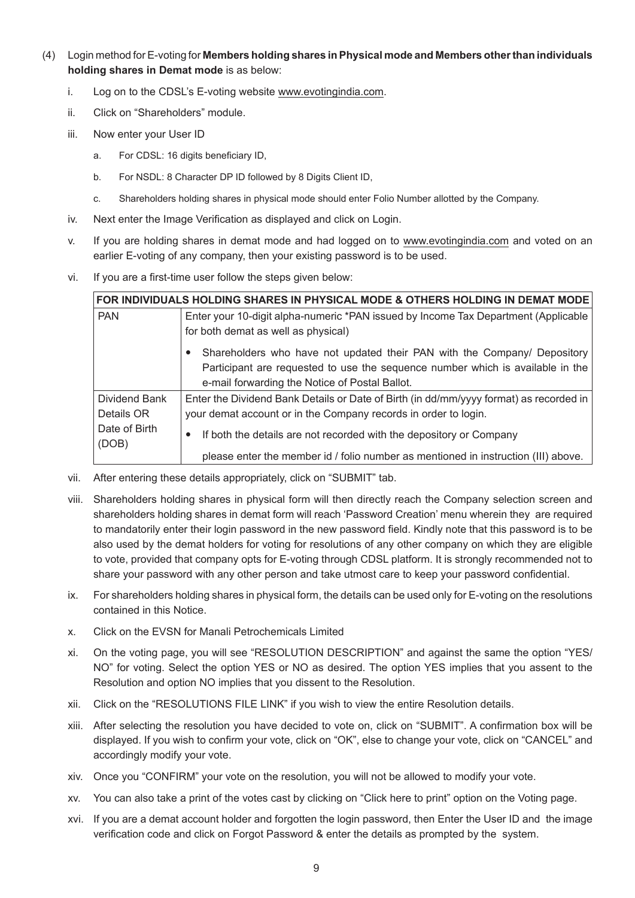- (4) Login method for E-voting for **Members holding shares in Physical mode and Members other than individuals holding shares in Demat mode** is as below:
	- i. Log on to the CDSL's E-voting website [www.evotingindia.com.](http://www.evotingindia.com/)
	- ii. Click on "Shareholders" module.
	- iii. Now enter your User ID
		- a. For CDSL: 16 digits beneficiary ID,
		- b. For NSDL: 8 Character DP ID followed by 8 Digits Client ID,
		- c. Shareholders holding shares in physical mode should enter Folio Number allotted by the Company.
	- iv. Next enter the Image Verification as displayed and click on Login.
	- v. If you are holding shares in demat mode and had logged on to [www.evotingindia.com](http://www.evotingindia.com/) and voted on an earlier E-voting of any company, then your existing password is to be used.
	- vi. If you are a first-time user follow the steps given below:

| FOR INDIVIDUALS HOLDING SHARES IN PHYSICAL MODE & OTHERS HOLDING IN DEMAT MODE |                                                                                        |  |  |  |
|--------------------------------------------------------------------------------|----------------------------------------------------------------------------------------|--|--|--|
| <b>PAN</b>                                                                     | Enter your 10-digit alpha-numeric *PAN issued by Income Tax Department (Applicable     |  |  |  |
|                                                                                | for both demat as well as physical)                                                    |  |  |  |
|                                                                                | Shareholders who have not updated their PAN with the Company/ Depository               |  |  |  |
|                                                                                | Participant are requested to use the sequence number which is available in the         |  |  |  |
|                                                                                | e-mail forwarding the Notice of Postal Ballot.                                         |  |  |  |
| Dividend Bank                                                                  | Enter the Dividend Bank Details or Date of Birth (in dd/mm/yyyy format) as recorded in |  |  |  |
| Details OR                                                                     | your demat account or in the Company records in order to login.                        |  |  |  |
| Date of Birth<br>(DOB)                                                         | If both the details are not recorded with the depository or Company                    |  |  |  |
|                                                                                | please enter the member id / folio number as mentioned in instruction (III) above.     |  |  |  |

- vii. After entering these details appropriately, click on "SUBMIT" tab.
- viii. Shareholders holding shares in physical form will then directly reach the Company selection screen and shareholders holding shares in demat form will reach 'Password Creation' menu wherein they are required to mandatorily enter their login password in the new password field. Kindly note that this password is to be also used by the demat holders for voting for resolutions of any other company on which they are eligible to vote, provided that company opts for E-voting through CDSL platform. It is strongly recommended not to share your password with any other person and take utmost care to keep your password confidential.
- ix. For shareholders holding shares in physical form, the details can be used only for E-voting on the resolutions contained in this Notice.
- x. Click on the EVSN for Manali Petrochemicals Limited
- xi. On the voting page, you will see "RESOLUTION DESCRIPTION" and against the same the option "YES/ NO" for voting. Select the option YES or NO as desired. The option YES implies that you assent to the Resolution and option NO implies that you dissent to the Resolution.
- xii. Click on the "RESOLUTIONS FILE LINK" if you wish to view the entire Resolution details.
- xiii. After selecting the resolution you have decided to vote on, click on "SUBMIT". A confirmation box will be displayed. If you wish to confirm your vote, click on "OK", else to change your vote, click on "CANCEL" and accordingly modify your vote.
- xiv. Once you "CONFIRM" your vote on the resolution, you will not be allowed to modify your vote.
- xv. You can also take a print of the votes cast by clicking on "Click here to print" option on the Voting page.
- xvi. If you are a demat account holder and forgotten the login password, then Enter the User ID and the image verification code and click on Forgot Password & enter the details as prompted by the system.